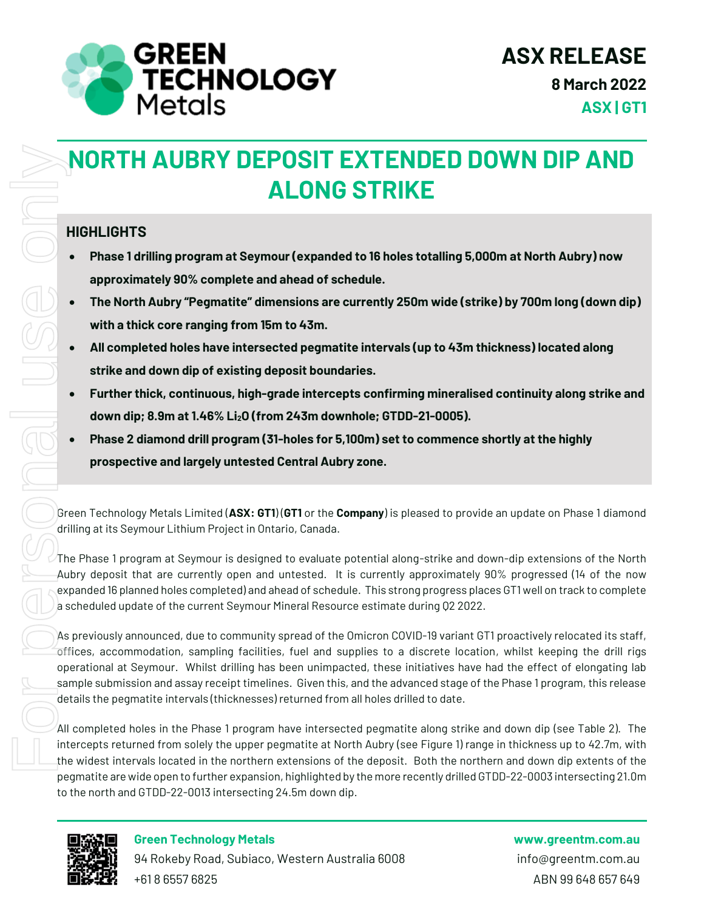

# **NORTH AUBRY DEPOSIT EXTENDED DOWN DIP AND ALONG STRIKE**

#### **HIGHLIGHTS**

- **Phase 1 drilling program at Seymour (expanded to 16 holes totalling 5,000m at North Aubry) now approximately 90% complete and ahead of schedule.**
- **The North Aubry "Pegmatite" dimensions are currently 250m wide (strike) by 700m long (down dip) with a thick core ranging from 15m to 43m.**
- **All completed holes have intersected pegmatite intervals (up to 43m thickness) located along strike and down dip of existing deposit boundaries.**
- **Furtherthick, continuous, high-grade intercepts confirming mineralised continuity along strike and down dip; 8.9m at 1.46% Li2O (from 243m downhole; GTDD-21-0005).**
- **Phase 2 diamond drill program (31-holes for 5,100m) set to commence shortly at the highly prospective and largely untested Central Aubry zone.**

Green Technology Metals Limited (**ASX: GT1**) (**GT1** or the **Company**) is pleased to provide an update on Phase 1 diamond drilling at its Seymour Lithium Project in Ontario, Canada.

The Phase 1 program at Seymour is designed to evaluate potential along-strike and down-dip extensions of the North Aubry deposit that are currently open and untested. It is currently approximately 90% progressed (14 of the now expanded 16 planned holes completed) and ahead of schedule. This strong progress places GT1 well on track to complete a scheduled update of the current Seymour Mineral Resource estimate during Q2 2022.

As previously announced, due to community spread of the Omicron COVID-19 variant GT1 proactively relocated its staff, offices, accommodation, sampling facilities, fuel and supplies to a discrete location, whilst keeping the drill rigs operational at Seymour. Whilst drilling has been unimpacted, these initiatives have had the effect of elongating lab sample submission and assay receipt timelines. Given this, and the advanced stage of the Phase 1 program, this release details the pegmatite intervals (thicknesses) returned from all holes drilled to date.

All completed holes in the Phase 1 program have intersected pegmatite along strike and down dip (see Table 2). The intercepts returned from solely the upper pegmatite at North Aubry (see Figure 1) range in thickness up to 42.7m, with the widest intervals located in the northern extensions of the deposit. Both the northern and down dip extents of the pegmatite are wide open to further expansion, highlighted by the more recently drilled GTDD-22-0003 intersecting 21.0m



#### **Green Technology Metals www.greentm.com.au**

94 Rokeby Road, Subiaco, Western Australia 6008 info@greentm.com.au +61 8 6557 6825 ABN 99 648 657 649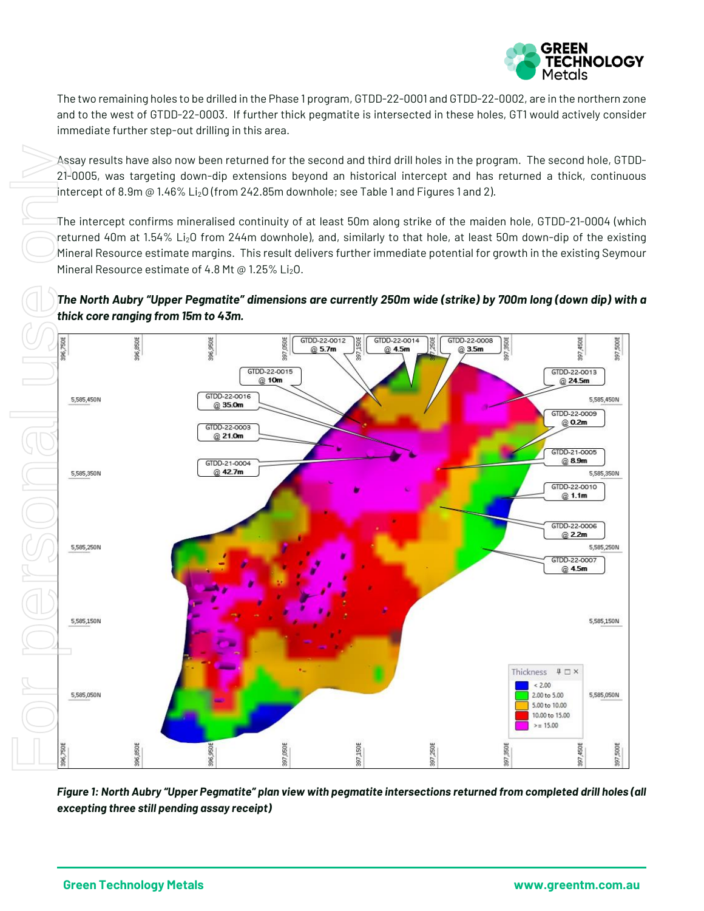

The two remaining holes to be drilled in the Phase 1 program, GTDD-22-0001 and GTDD-22-0002, are in the northern zone and to the west of GTDD-22-0003. If further thick pegmatite is intersected in these holes, GT1 would actively consider immediate further step-out drilling in this area.

Assay results have also now been returned for the second and third drill holes in the program. The second hole, GTDD-21-0005, was targeting down-dip extensions beyond an historical intercept and has returned a thick, continuous intercept of 8.9m  $\textcircled{a}$  1.46% Li<sub>2</sub>O (from 242.85m downhole; see Table 1 and Figures 1 and 2).

The intercept confirms mineralised continuity of at least 50m along strike of the maiden hole, GTDD-21-0004 (which returned 40m at 1.54% Li<sub>2</sub>O from 244m downhole), and, similarly to that hole, at least 50m down-dip of the existing Mineral Resource estimate margins. This result delivers further immediate potential for growth in the existing Seymour Mineral Resource estimate of 4.8 Mt @ 1.25% Li<sub>2</sub>O.





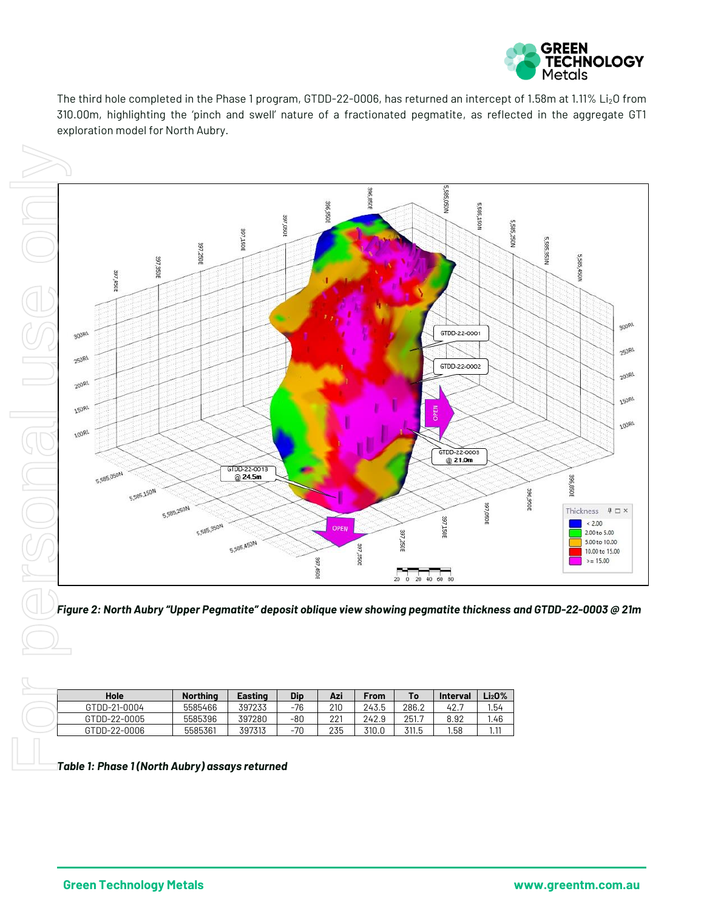

The third hole completed in the Phase 1 program, GTDD-22-0006, has returned an intercept of 1.58m at 1.11% Li2O from 310.00m, highlighting the 'pinch and swell' nature of a fractionated pegmatite, as reflected in the aggregate GT1 exploration model for North Aubry.





*Figure 2: North Aubry "Upper Pegmatite" deposit oblique view showing pegmatite thickness and GTDD-22-0003 @ 21m*

| Hole         | <b>Northing</b> | Easting | Dip | Azi | From  | To    | <b>Interval</b> | -i20% |
|--------------|-----------------|---------|-----|-----|-------|-------|-----------------|-------|
| GTDD-21-0004 | 5585466         | 397233  | -76 | 210 | 243.5 | 286.2 | 42.             | 1.54  |
| GTDD-22-0005 | 5585396         | 397280  | -80 | 221 | 242.9 | 251.7 | 8.92            | l.46  |
| GTDD-22-0006 | 5585361         | 397313  | -70 | 235 | 310.0 | 311.5 | 1.58            | 1.11  |
|              |                 |         |     |     |       |       |                 |       |

*Phase 1 (North Aubry) assays returned*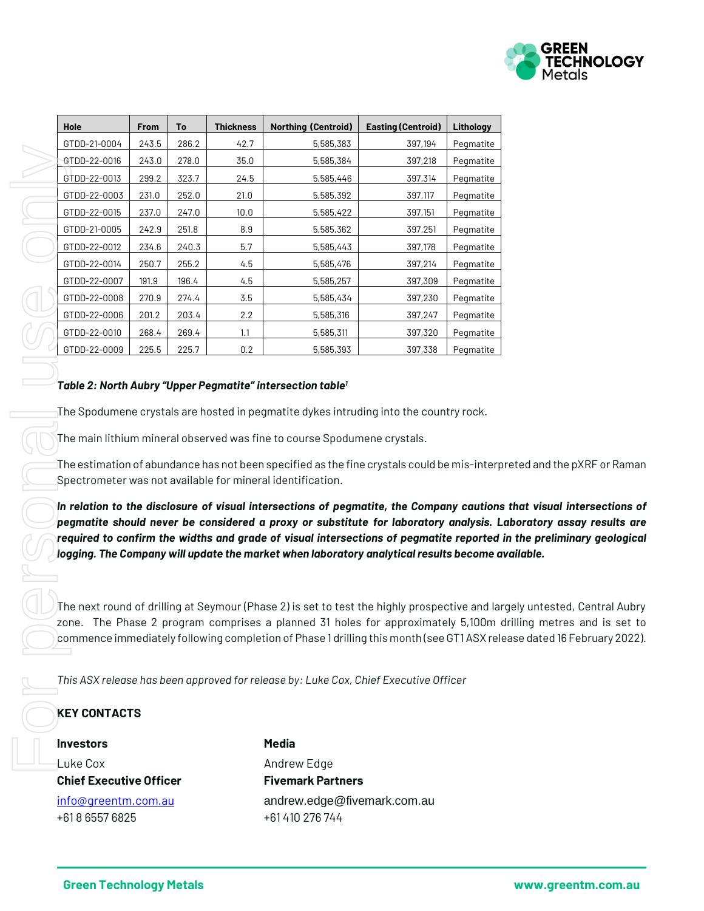

|                                                       | From  | To    | <b>Thickness</b> | <b>Northing (Centroid)</b>                                                                                                                                                                                                                                                                                                        | <b>Easting (Centroid)</b> | Lithology |
|-------------------------------------------------------|-------|-------|------------------|-----------------------------------------------------------------------------------------------------------------------------------------------------------------------------------------------------------------------------------------------------------------------------------------------------------------------------------|---------------------------|-----------|
| GTDD-21-0004                                          | 243.5 | 286.2 | 42.7             | 5,585,383                                                                                                                                                                                                                                                                                                                         | 397,194                   | Pegmatite |
| GTDD-22-0016                                          | 243.0 | 278.0 | 35.0             | 5,585,384                                                                                                                                                                                                                                                                                                                         | 397,218                   | Pegmatite |
| GTDD-22-0013                                          | 299.2 | 323.7 | 24.5             | 5,585,446                                                                                                                                                                                                                                                                                                                         | 397,314                   | Pegmatite |
| GTDD-22-0003                                          | 231.0 | 252.0 | 21.0             | 5,585,392                                                                                                                                                                                                                                                                                                                         | 397,117                   | Pegmatite |
| GTDD-22-0015                                          | 237.0 | 247.0 | 10.0             | 5,585,422                                                                                                                                                                                                                                                                                                                         | 397,151                   | Pegmatite |
| GTDD-21-0005                                          | 242.9 | 251.8 | 8.9              | 5,585,362                                                                                                                                                                                                                                                                                                                         | 397,251                   | Pegmatite |
| GTDD-22-0012                                          | 234.6 | 240.3 | 5.7              | 5,585,443                                                                                                                                                                                                                                                                                                                         | 397,178                   | Pegmatite |
| GTDD-22-0014                                          | 250.7 | 255.2 | 4.5              | 5,585,476                                                                                                                                                                                                                                                                                                                         | 397,214                   | Pegmatite |
| GTDD-22-0007                                          | 191.9 | 196.4 | 4.5              | 5,585,257                                                                                                                                                                                                                                                                                                                         | 397,309                   | Pegmatite |
| GTDD-22-0008                                          | 270.9 | 274.4 | 3.5              | 5,585,434                                                                                                                                                                                                                                                                                                                         | 397,230                   | Pegmatite |
| GTDD-22-0006                                          | 201.2 | 203.4 | 2.2              | 5,585,316                                                                                                                                                                                                                                                                                                                         | 397,247                   | Pegmatite |
| GTDD-22-0010                                          | 268.4 | 269.4 | 1.1              | 5,585,311                                                                                                                                                                                                                                                                                                                         | 397,320                   | Pegmatite |
| GTDD-22-0009                                          | 225.5 | 225.7 | 0.2              | 5,585,393                                                                                                                                                                                                                                                                                                                         | 397,338                   | Pegmatite |
|                                                       |       |       |                  | The main lithium mineral observed was fine to course Spodumene crystals.<br>The estimation of abundance has not been specified as the fine crystals could be mis-interp<br>Spectrometer was not available for mineral identification.<br>In relation to the disclosure of visual intersections of pegmatite, the Company cautions |                           |           |
|                                                       |       |       |                  | pegmatite should never be considered a proxy or substitute for laboratory analysis. L<br>required to confirm the widths and grade of visual intersections of pegmatite reported<br>logging. The Company will update the market when laboratory analytical results become a                                                        |                           |           |
|                                                       |       |       |                  | The next round of drilling at Seymour (Phase 2) is set to test the highly prospective and lar<br>zone. The Phase 2 program comprises a planned 31 holes for approximately 5,100m o<br>commence immediately following completion of Phase 1 drilling this month (see GT1ASX rele                                                   |                           |           |
| <b>KEY CONTACTS</b>                                   |       |       |                  | This ASX release has been approved for release by: Luke Cox, Chief Executive Officer                                                                                                                                                                                                                                              |                           |           |
| <b>Investors</b>                                      |       |       |                  | <b>Media</b>                                                                                                                                                                                                                                                                                                                      |                           |           |
|                                                       |       |       |                  |                                                                                                                                                                                                                                                                                                                                   |                           |           |
| Luke Cox                                              |       |       |                  | Andrew Edge                                                                                                                                                                                                                                                                                                                       |                           |           |
| <b>Chief Executive Officer</b><br>info@greentm.com.au |       |       |                  | <b>Fivemark Partners</b><br>andrew.edge@fivemark.com.au                                                                                                                                                                                                                                                                           |                           |           |

#### *Table 2: North Aubry "Upper Pegmatite" intersection table 1*

The estimation of abundance has not been specified as the fine crystals could be mis-interpreted and the pXRF or Raman Spectrometer was not available for mineral identification.

In relation to the disclosure of visual intersections of pegmatite, the Company cautions that visual intersections of *pegmatite should never be considered a proxy or substitute for laboratory analysis. Laboratory assay results are required to confirm the widths and grade of visual intersections of pegmatite reported in the preliminary geological logging. The Company will update the market when laboratory analytical results become available.*

The next round of drilling at Seymour (Phase 2) is set to test the highly prospective and largely untested, Central Aubry zone. The Phase 2 program comprises a planned 31 holes for approximately 5,100m drilling metres and is set to commence immediately following completion of Phase 1 drilling this month (see GT1 ASX release dated 16 February 2022).

#### **KEY CONTACTS**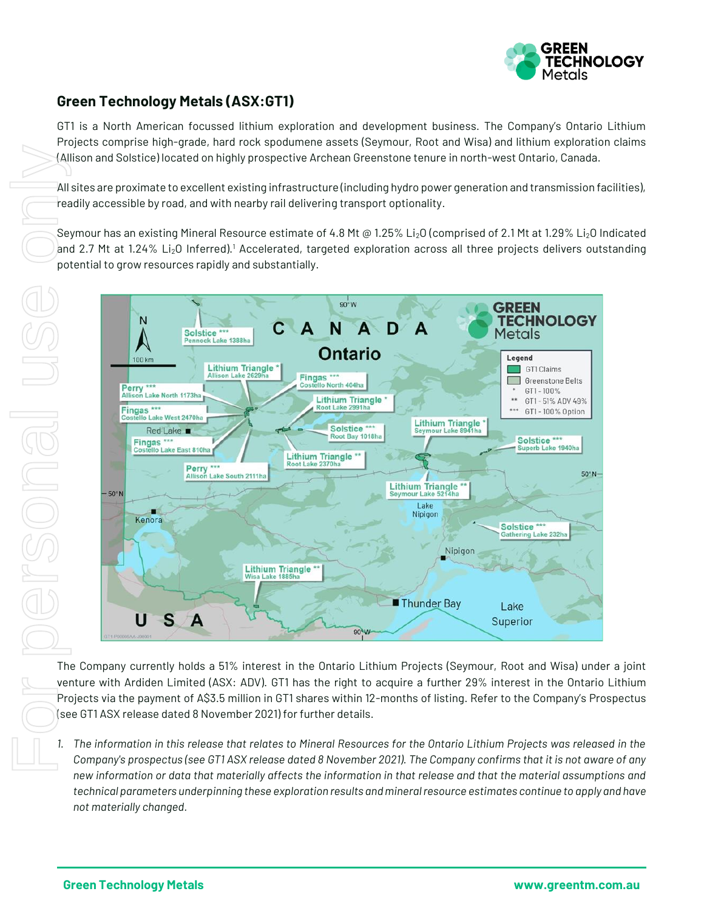

### **Green Technology Metals (ASX:GT1)**

GT1 is a North American focussed lithium exploration and development business. The Company's Ontario Lithium Projects comprise high-grade, hard rock spodumene assets (Seymour, Root and Wisa) and lithium exploration claims (Allison and Solstice) located on highly prospective Archean Greenstone tenure in north-west Ontario, Canada.

All sites are proximate to excellent existing infrastructure (including hydro power generation and transmission facilities), readily accessible by road, and with nearby rail delivering transport optionality.

Seymour has an existing Mineral Resource estimate of 4.8 Mt @ 1.25% Li<sub>2</sub>O (comprised of 2.1 Mt at 1.29% Li<sub>2</sub>O Indicated and 2.7 Mt at 1.24% Li<sub>2</sub>O Inferred).<sup>1</sup> Accelerated, targeted exploration across all three projects delivers outstanding potential to grow resources rapidly and substantially.



The Company currently holds a 51% interest in the Ontario Lithium Projects (Seymour, Root and Wisa) under a joint venture with Ardiden Limited (ASX: ADV). GT1 has the right to acquire a further 29% interest in the Ontario Lithium Projects via the payment of A\$3.5 million in GT1 shares within 12-months of listing. Refer to the Company's Prospectus (see GT1 ASX release dated 8 November 2021) for further details.

*1. The information in this release that relates to Mineral Resources for the Ontario Lithium Projects was released in the Company's prospectus (see GT1 ASX release dated 8 November 2021). The Company confirms that it is not aware of any new information or data that materially affects the information in that release and that the material assumptions and technical parameters underpinning these exploration results and mineral resource estimates continue to apply and have not materially changed.*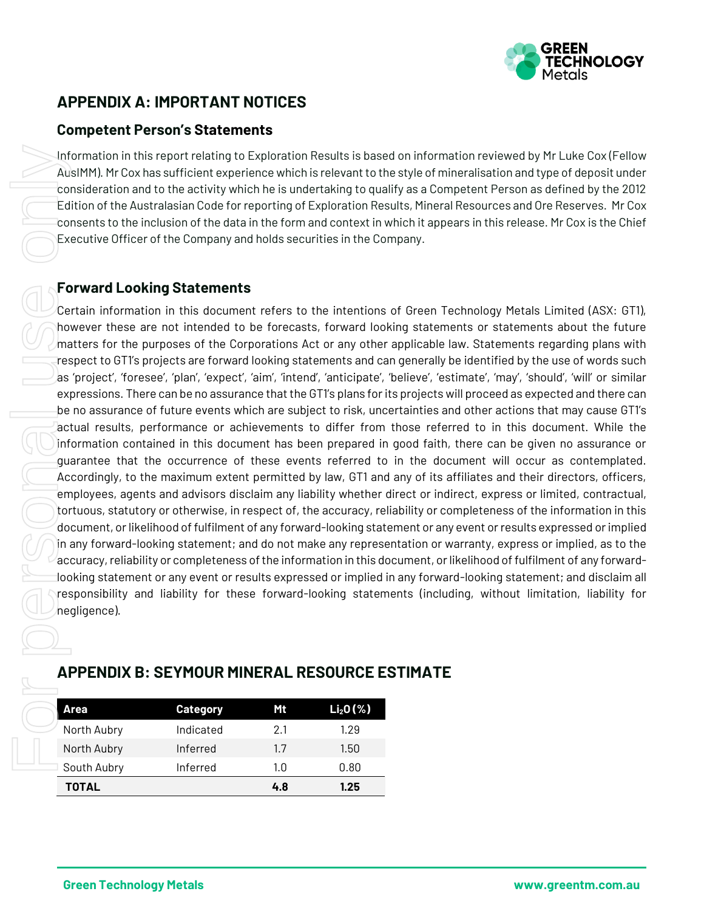

## **APPENDIX A: IMPORTANT NOTICES**

#### **Competent Person's Statements**

Information in this report relating to Exploration Results is based on information reviewed by Mr Luke Cox (Fellow AusIMM). Mr Cox has sufficient experience which is relevant to the style of mineralisation and type of deposit under consideration and to the activity which he is undertaking to qualify as a Competent Person as defined by the 2012 Edition of the Australasian Code for reporting of Exploration Results, Mineral Resources and Ore Reserves. Mr Cox consents to the inclusion of the data in the form and context in which it appears in this release. Mr Cox is the Chief Executive Officer of the Company and holds securities in the Company.

#### **Forward Looking Statements**

Certain information in this document refers to the intentions of Green Technology Metals Limited (ASX: GT1), however these are not intended to be forecasts, forward looking statements or statements about the future matters for the purposes of the Corporations Act or any other applicable law. Statements regarding plans with respect to GT1's projects are forward looking statements and can generally be identified by the use of words such as 'project', 'foresee', 'plan', 'expect', 'aim', 'intend', 'anticipate', 'believe', 'estimate', 'may', 'should', 'will' or similar expressions. There can be no assurance that the GT1's plans for its projects will proceed as expected and there can be no assurance of future events which are subject to risk, uncertainties and other actions that may cause GT1's actual results, performance or achievements to differ from those referred to in this document. While the information contained in this document has been prepared in good faith, there can be given no assurance or guarantee that the occurrence of these events referred to in the document will occur as contemplated. Accordingly, to the maximum extent permitted by law, GT1 and any of its affiliates and their directors, officers, employees, agents and advisors disclaim any liability whether direct or indirect, express or limited, contractual, tortuous, statutory or otherwise, in respect of, the accuracy, reliability or completeness of the information in this document, or likelihood of fulfilment of any forward-looking statement or any event or results expressed or implied in any forward-looking statement; and do not make any representation or warranty, express or implied, as to the accuracy, reliability or completeness of the information in this document, or likelihood of fulfilment of any forwardlooking statement or any event or results expressed or implied in any forward-looking statement; and disclaim all responsibility and liability for these forward-looking statements (including, without limitation, liability for negligence). Information in this report relating to Exploration Results is<br>
Auslim Mir Cox has sufficient experience which is relevant<br>
consideration and to the activity which he is undertaking to<br>
Edition of the Australasian Code for

## **Area Category Mt Li2O (%)** North Aubry Indicated 2.1 1.29 North Aubry Inferred 1.7 1.50 **TOTAL 4.8 1.25**

### **APPENDIX B: SEYMOUR MINERAL RESOURCE ESTIMATE**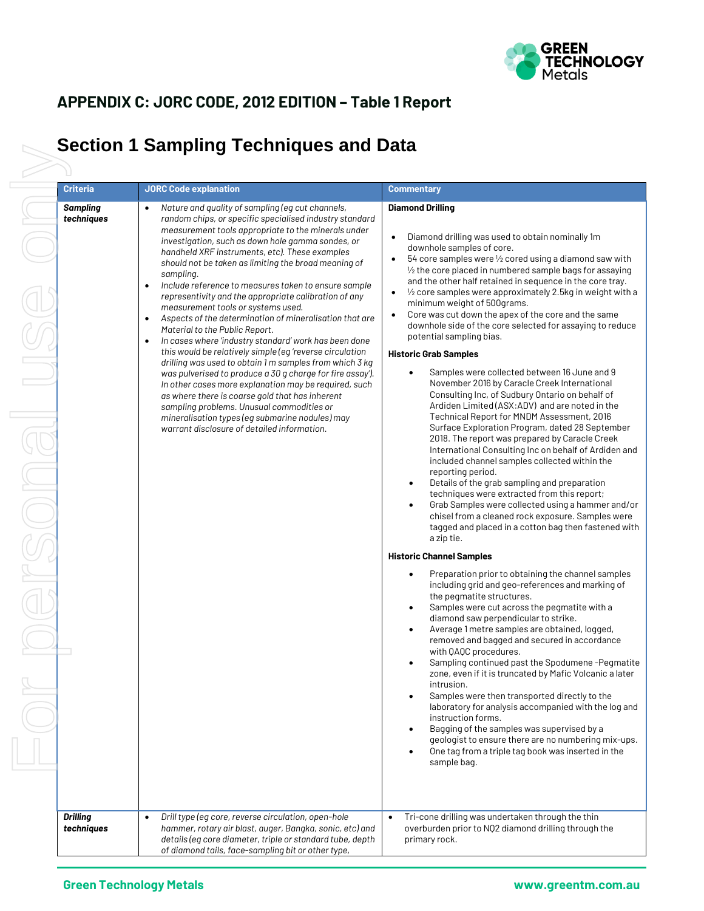

## **APPENDIX C: JORC CODE, 2012 EDITION – Table 1 Report**

## **Section 1 Sampling Techniques and Data**

| Criteria                      | <b>JORC Code explanation</b>                                                                                                                                                                                                                                                                                                                                                                                                                                                                                                                                                                                                                                                                                                                                                                                                                                                                                                                                                                                                                                                                                                | <b>Commentary</b>                                                                                                                                                                                                                                                                                                                                                                                                                                                                                                                                                                                                                                                                                                                                                                                                                                                                                                                                                                                                                                                                                                                                                                                                                                                                                                                                                                                                                                                                                                                                                                                                                                                                                                                                                                                                                                                                                                                                                                                                                                                                                                                                                                                                                           |
|-------------------------------|-----------------------------------------------------------------------------------------------------------------------------------------------------------------------------------------------------------------------------------------------------------------------------------------------------------------------------------------------------------------------------------------------------------------------------------------------------------------------------------------------------------------------------------------------------------------------------------------------------------------------------------------------------------------------------------------------------------------------------------------------------------------------------------------------------------------------------------------------------------------------------------------------------------------------------------------------------------------------------------------------------------------------------------------------------------------------------------------------------------------------------|---------------------------------------------------------------------------------------------------------------------------------------------------------------------------------------------------------------------------------------------------------------------------------------------------------------------------------------------------------------------------------------------------------------------------------------------------------------------------------------------------------------------------------------------------------------------------------------------------------------------------------------------------------------------------------------------------------------------------------------------------------------------------------------------------------------------------------------------------------------------------------------------------------------------------------------------------------------------------------------------------------------------------------------------------------------------------------------------------------------------------------------------------------------------------------------------------------------------------------------------------------------------------------------------------------------------------------------------------------------------------------------------------------------------------------------------------------------------------------------------------------------------------------------------------------------------------------------------------------------------------------------------------------------------------------------------------------------------------------------------------------------------------------------------------------------------------------------------------------------------------------------------------------------------------------------------------------------------------------------------------------------------------------------------------------------------------------------------------------------------------------------------------------------------------------------------------------------------------------------------|
| <b>Sampling</b><br>techniques | Nature and quality of sampling (eq cut channels,<br>random chips, or specific specialised industry standard<br>measurement tools appropriate to the minerals under<br>investigation, such as down hole gamma sondes, or<br>handheld XRF instruments, etc). These examples<br>should not be taken as limiting the broad meaning of<br>sampling.<br>Include reference to measures taken to ensure sample<br>$\bullet$<br>representivity and the appropriate calibration of any<br>measurement tools or systems used.<br>Aspects of the determination of mineralisation that are<br>٠<br>Material to the Public Report.<br>In cases where 'industry standard' work has been done<br>this would be relatively simple (eq'reverse circulation<br>drilling was used to obtain 1 m samples from which 3 kg<br>was pulverised to produce a 30 g charge for fire assay').<br>In other cases more explanation may be required, such<br>as where there is coarse gold that has inherent<br>sampling problems. Unusual commodities or<br>mineralisation types (eg submarine nodules) may<br>warrant disclosure of detailed information. | <b>Diamond Drilling</b><br>Diamond drilling was used to obtain nominally 1m<br>downhole samples of core.<br>54 core samples were 1/2 cored using a diamond saw with<br>$\frac{1}{2}$ the core placed in numbered sample bags for assaying<br>and the other half retained in sequence in the core tray.<br>$\frac{1}{2}$ core samples were approximately 2.5kg in weight with a<br>$\bullet$<br>minimum weight of 500grams.<br>Core was cut down the apex of the core and the same<br>downhole side of the core selected for assaying to reduce<br>potential sampling bias.<br><b>Historic Grab Samples</b><br>Samples were collected between 16 June and 9<br>$\bullet$<br>November 2016 by Caracle Creek International<br>Consulting Inc, of Sudbury Ontario on behalf of<br>Ardiden Limited (ASX:ADV) and are noted in the<br>Technical Report for MNDM Assessment, 2016<br>Surface Exploration Program, dated 28 September<br>2018. The report was prepared by Caracle Creek<br>International Consulting Inc on behalf of Ardiden and<br>included channel samples collected within the<br>reporting period.<br>Details of the grab sampling and preparation<br>$\bullet$<br>techniques were extracted from this report;<br>Grab Samples were collected using a hammer and/or<br>chisel from a cleaned rock exposure. Samples were<br>tagged and placed in a cotton bag then fastened with<br>a zip tie.<br><b>Historic Channel Samples</b><br>Preparation prior to obtaining the channel samples<br>including grid and geo-references and marking of<br>the pegmatite structures.<br>Samples were cut across the pegmatite with a<br>diamond saw perpendicular to strike.<br>Average 1 metre samples are obtained, logged,<br>removed and bagged and secured in accordance<br>with QAQC procedures.<br>Sampling continued past the Spodumene-Pegmatite<br>zone, even if it is truncated by Mafic Volcanic a later<br>intrusion.<br>Samples were then transported directly to the<br>laboratory for analysis accompanied with the log and<br>instruction forms.<br>Bagging of the samples was supervised by a<br>geologist to ensure there are no numbering mix-ups.<br>One tag from a triple tag book was inserted in the<br>sample bag. |
| <b>Drilling</b><br>techniques | Drill type (eg core, reverse circulation, open-hole<br>٠<br>hammer, rotary air blast, auger, Bangka, sonic, etc) and                                                                                                                                                                                                                                                                                                                                                                                                                                                                                                                                                                                                                                                                                                                                                                                                                                                                                                                                                                                                        | Tri-cone drilling was undertaken through the thin<br>$\bullet$<br>overburden prior to NQ2 diamond drilling through the                                                                                                                                                                                                                                                                                                                                                                                                                                                                                                                                                                                                                                                                                                                                                                                                                                                                                                                                                                                                                                                                                                                                                                                                                                                                                                                                                                                                                                                                                                                                                                                                                                                                                                                                                                                                                                                                                                                                                                                                                                                                                                                      |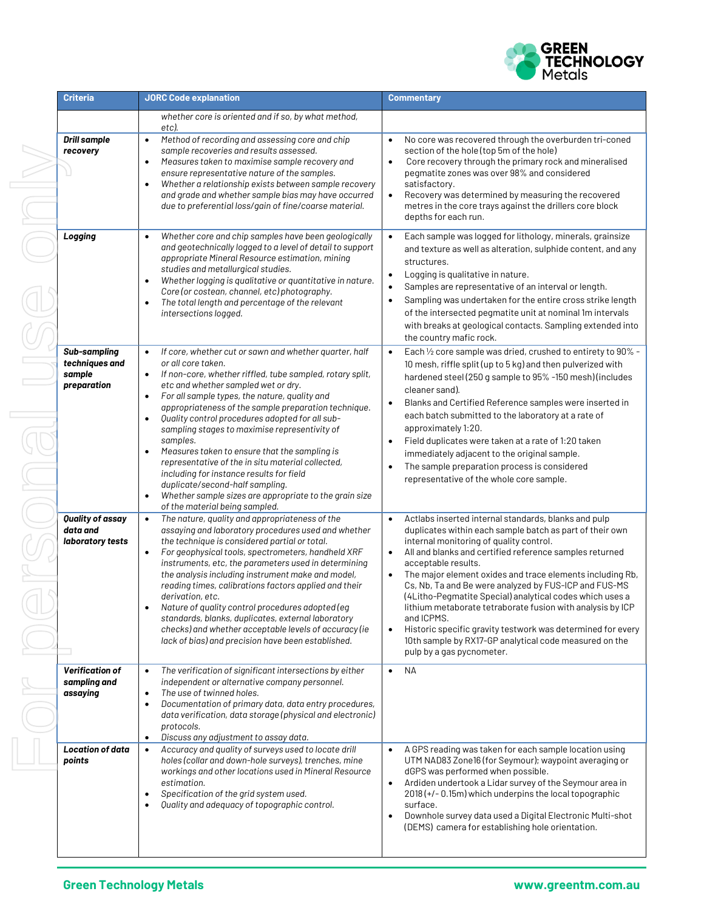

| <b>Criteria</b>                                         | <b>JORC Code explanation</b>                                                                                                                                                                                                                                                                                                                                                                                                                                                                                                                                                                                                                                                                                                                                | <b>Commentary</b>                                                                                                                                                                                                                                                                                                                                                                                                                                                                                                                                                                                                                                                                                                     |
|---------------------------------------------------------|-------------------------------------------------------------------------------------------------------------------------------------------------------------------------------------------------------------------------------------------------------------------------------------------------------------------------------------------------------------------------------------------------------------------------------------------------------------------------------------------------------------------------------------------------------------------------------------------------------------------------------------------------------------------------------------------------------------------------------------------------------------|-----------------------------------------------------------------------------------------------------------------------------------------------------------------------------------------------------------------------------------------------------------------------------------------------------------------------------------------------------------------------------------------------------------------------------------------------------------------------------------------------------------------------------------------------------------------------------------------------------------------------------------------------------------------------------------------------------------------------|
| <b>Drill sample</b><br>recovery                         | whether core is oriented and if so, by what method,<br>etc).<br>Method of recording and assessing core and chip<br>$\bullet$<br>sample recoveries and results assessed.<br>Measures taken to maximise sample recovery and<br>ensure representative nature of the samples.<br>Whether a relationship exists between sample recovery<br>$\bullet$<br>and grade and whether sample bias may have occurred<br>due to preferential loss/gain of fine/coarse material.                                                                                                                                                                                                                                                                                            | No core was recovered through the overburden tri-coned<br>$\bullet$<br>section of the hole (top 5m of the hole)<br>Core recovery through the primary rock and mineralised<br>$\bullet$<br>pegmatite zones was over 98% and considered<br>satisfactory.<br>Recovery was determined by measuring the recovered<br>$\bullet$<br>metres in the core trays against the drillers core block<br>depths for each run.                                                                                                                                                                                                                                                                                                         |
| Logging                                                 | Whether core and chip samples have been geologically<br>$\bullet$<br>and geotechnically logged to a level of detail to support<br>appropriate Mineral Resource estimation, mining<br>studies and metallurgical studies.<br>Whether logging is qualitative or quantitative in nature.<br>$\bullet$<br>Core (or costean, channel, etc) photography.<br>The total length and percentage of the relevant<br>$\bullet$<br>intersections logged.                                                                                                                                                                                                                                                                                                                  | Each sample was logged for lithology, minerals, grainsize<br>$\bullet$<br>and texture as well as alteration, sulphide content, and any<br>structures.<br>Logging is qualitative in nature.<br>$\bullet$<br>Samples are representative of an interval or length.<br>$\bullet$<br>Sampling was undertaken for the entire cross strike length<br>$\bullet$<br>of the intersected pegmatite unit at nominal 1m intervals<br>with breaks at geological contacts. Sampling extended into<br>the country mafic rock.                                                                                                                                                                                                         |
| Sub-sampling<br>techniques and<br>sample<br>preparation | If core, whether cut or sawn and whether quarter, half<br>$\bullet$<br>or all core taken.<br>If non-core, whether riffled, tube sampled, rotary split,<br>$\bullet$<br>etc and whether sampled wet or dry.<br>For all sample types, the nature, quality and<br>$\bullet$<br>appropriateness of the sample preparation technique.<br>Quality control procedures adopted for all sub-<br>$\bullet$<br>sampling stages to maximise representivity of<br>samples.<br>Measures taken to ensure that the sampling is<br>representative of the in situ material collected,<br>including for instance results for field<br>duplicate/second-half sampling.<br>Whether sample sizes are appropriate to the grain size<br>$\bullet$<br>of the material being sampled. | Each 1/2 core sample was dried, crushed to entirety to 90% -<br>$\bullet$<br>10 mesh, riffle split (up to 5 kg) and then pulverized with<br>hardened steel (250 g sample to 95% -150 mesh) (includes<br>cleaner sand).<br>Blanks and Certified Reference samples were inserted in<br>$\bullet$<br>each batch submitted to the laboratory at a rate of<br>approximately 1:20.<br>Field duplicates were taken at a rate of 1:20 taken<br>$\bullet$<br>immediately adjacent to the original sample.<br>The sample preparation process is considered<br>representative of the whole core sample.                                                                                                                          |
| Quality of assay<br>data and<br>laboratory tests        | The nature, quality and appropriateness of the<br>$\bullet$<br>assaying and laboratory procedures used and whether<br>the technique is considered partial or total.<br>For geophysical tools, spectrometers, handheld XRF<br>$\bullet$<br>instruments, etc, the parameters used in determining<br>the analysis including instrument make and model,<br>reading times, calibrations factors applied and their<br>derivation, etc.<br>Nature of quality control procedures adopted (eq<br>standards, blanks, duplicates, external laboratory<br>checks) and whether acceptable levels of accuracy (ie<br>lack of bias) and precision have been established.                                                                                                   | $\bullet$<br>Actlabs inserted internal standards, blanks and pulp<br>duplicates within each sample batch as part of their own<br>internal monitoring of quality control.<br>All and blanks and certified reference samples returned<br>$\bullet$<br>acceptable results.<br>The major element oxides and trace elements including Rb,<br>$\bullet$<br>Cs, Nb, Ta and Be were analyzed by FUS-ICP and FUS-MS<br>(4Litho-Pegmatite Special) analytical codes which uses a<br>lithium metaborate tetraborate fusion with analysis by ICP<br>and ICPMS.<br>Historic specific gravity testwork was determined for every<br>$\bullet$<br>10th sample by RX17-GP analytical code measured on the<br>pulp by a gas pycnometer. |
| <b>Verification of</b><br>sampling and<br>assaying      | The verification of significant intersections by either<br>$\bullet$<br>independent or alternative company personnel.<br>The use of twinned holes.<br>$\bullet$<br>Documentation of primary data, data entry procedures,<br>$\bullet$<br>data verification, data storage (physical and electronic)<br>protocols.<br>Discuss any adjustment to assay data.<br>$\bullet$                                                                                                                                                                                                                                                                                                                                                                                      | NΑ<br>$\bullet$                                                                                                                                                                                                                                                                                                                                                                                                                                                                                                                                                                                                                                                                                                       |
| <b>Location of data</b><br>points                       | Accuracy and quality of surveys used to locate drill<br>$\bullet$<br>holes (collar and down-hole surveys), trenches, mine<br>workings and other locations used in Mineral Resource<br>estimation.<br>Specification of the grid system used.<br>Quality and adequacy of topographic control.                                                                                                                                                                                                                                                                                                                                                                                                                                                                 | A GPS reading was taken for each sample location using<br>UTM NAD83 Zone16 (for Seymour); waypoint averaging or<br>dGPS was performed when possible.<br>Ardiden undertook a Lidar survey of the Seymour area in<br>$\bullet$<br>2018 (+/- 0.15m) which underpins the local topographic<br>surface.<br>Downhole survey data used a Digital Electronic Multi-shot<br>$\bullet$<br>(DEMS) camera for establishing hole orientation.                                                                                                                                                                                                                                                                                      |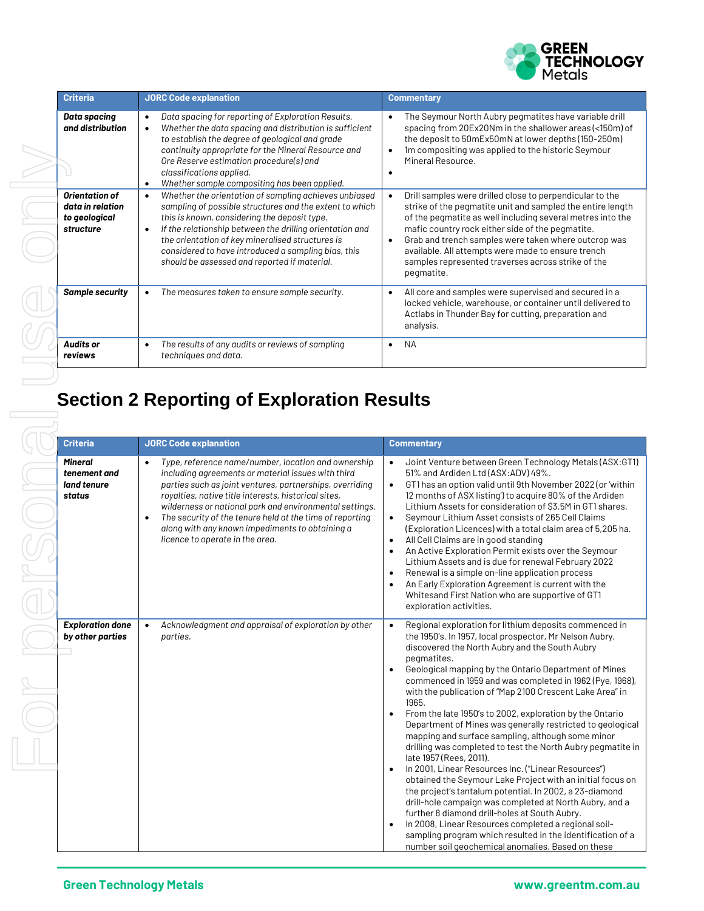

| <b>Criteria</b>                                                  | <b>JORC Code explanation</b>                                                                                                                                                                                                                                                                                                                                                                         | <b>Commentary</b>                                                                                                                                                                                                                                                                                                                                                                                                          |
|------------------------------------------------------------------|------------------------------------------------------------------------------------------------------------------------------------------------------------------------------------------------------------------------------------------------------------------------------------------------------------------------------------------------------------------------------------------------------|----------------------------------------------------------------------------------------------------------------------------------------------------------------------------------------------------------------------------------------------------------------------------------------------------------------------------------------------------------------------------------------------------------------------------|
| Data spacing<br>and distribution                                 | Data spacing for reporting of Exploration Results.<br>$\bullet$<br>Whether the data spacing and distribution is sufficient<br>$\bullet$<br>to establish the degree of geological and grade<br>continuity appropriate for the Mineral Resource and<br>Ore Reserve estimation procedure(s) and<br>classifications applied.<br>Whether sample compositing has been applied.<br>٠                        | The Seymour North Aubry pegmatites have variable drill<br>spacing from 20Ex20Nm in the shallower areas (<150m) of<br>the deposit to 50mEx50mN at lower depths (150-250m)<br>1m compositing was applied to the historic Seymour<br>Mineral Resource.                                                                                                                                                                        |
| Orientation of<br>data in relation<br>to geological<br>structure | Whether the orientation of sampling achieves unbiased<br>sampling of possible structures and the extent to which<br>this is known, considering the deposit type.<br>If the relationship between the drilling orientation and<br>$\bullet$<br>the orientation of key mineralised structures is<br>considered to have introduced a sampling bias, this<br>should be assessed and reported if material. | Drill samples were drilled close to perpendicular to the<br>strike of the pegmatite unit and sampled the entire length<br>of the pegmatite as well including several metres into the<br>mafic country rock either side of the pegmatite.<br>Grab and trench samples were taken where outcrop was<br>available. All attempts were made to ensure trench<br>samples represented traverses across strike of the<br>pegmatite. |
| <b>Sample security</b>                                           | The measures taken to ensure sample security.                                                                                                                                                                                                                                                                                                                                                        | All core and samples were supervised and secured in a<br>locked vehicle, warehouse, or container until delivered to<br>Actlabs in Thunder Bay for cutting, preparation and<br>analysis.                                                                                                                                                                                                                                    |
| <b>Audits or</b><br>reviews                                      | The results of any audits or reviews of sampling<br>$\bullet$<br>techniques and data.                                                                                                                                                                                                                                                                                                                | <b>NA</b>                                                                                                                                                                                                                                                                                                                                                                                                                  |

## **Section 2 Reporting of Exploration Results**

| <b>Criteria</b>                                         | <b>JORC Code explanation</b>                                                                                                                                                                                                                                                                                                                                                                                                                                         | <b>Commentary</b>                                                                                                                                                                                                                                                                                                                                                                                                                                                                                                                                                                                                                                                                                                                                                                                                                                                                                                                                                                                                                                                                                                                                                                             |
|---------------------------------------------------------|----------------------------------------------------------------------------------------------------------------------------------------------------------------------------------------------------------------------------------------------------------------------------------------------------------------------------------------------------------------------------------------------------------------------------------------------------------------------|-----------------------------------------------------------------------------------------------------------------------------------------------------------------------------------------------------------------------------------------------------------------------------------------------------------------------------------------------------------------------------------------------------------------------------------------------------------------------------------------------------------------------------------------------------------------------------------------------------------------------------------------------------------------------------------------------------------------------------------------------------------------------------------------------------------------------------------------------------------------------------------------------------------------------------------------------------------------------------------------------------------------------------------------------------------------------------------------------------------------------------------------------------------------------------------------------|
| <b>Mineral</b><br>tenement and<br>land tenure<br>status | Type, reference name/number, location and ownership<br>$\bullet$<br>including agreements or material issues with third<br>parties such as joint ventures, partnerships, overriding<br>royalties, native title interests, historical sites,<br>wilderness or national park and environmental settings.<br>The security of the tenure held at the time of reporting<br>$\bullet$<br>along with any known impediments to obtaining a<br>licence to operate in the area. | Joint Venture between Green Technology Metals (ASX: GT1)<br>51% and Ardiden Ltd (ASX:ADV) 49%.<br>GT1 has an option valid until 9th November 2022 (or 'within<br>$\bullet$<br>12 months of ASX listing') to acquire 80% of the Ardiden<br>Lithium Assets for consideration of \$3.5M in GT1 shares.<br>Seymour Lithium Asset consists of 265 Cell Claims<br>$\bullet$<br>(Exploration Licences) with a total claim area of 5,205 ha.<br>All Cell Claims are in good standing<br>$\bullet$<br>An Active Exploration Permit exists over the Seymour<br>$\bullet$<br>Lithium Assets and is due for renewal February 2022<br>Renewal is a simple on-line application process<br>$\bullet$<br>An Early Exploration Agreement is current with the<br>$\bullet$<br>Whitesand First Nation who are supportive of GT1<br>exploration activities.                                                                                                                                                                                                                                                                                                                                                       |
| <b>Exploration done</b><br>by other parties             | Acknowledgment and appraisal of exploration by other<br>$\bullet$<br>parties.                                                                                                                                                                                                                                                                                                                                                                                        | Regional exploration for lithium deposits commenced in<br>$\bullet$<br>the 1950's. In 1957, local prospector, Mr Nelson Aubry,<br>discovered the North Aubry and the South Aubry<br>pegmatites.<br>Geological mapping by the Ontario Department of Mines<br>$\bullet$<br>commenced in 1959 and was completed in 1962 (Pye, 1968),<br>with the publication of "Map 2100 Crescent Lake Area" in<br>1965.<br>From the late 1950's to 2002, exploration by the Ontario<br>$\bullet$<br>Department of Mines was generally restricted to geological<br>mapping and surface sampling, although some minor<br>drilling was completed to test the North Aubry pegmatite in<br>late 1957 (Rees, 2011).<br>In 2001, Linear Resources Inc. ("Linear Resources")<br>$\bullet$<br>obtained the Seymour Lake Project with an initial focus on<br>the project's tantalum potential. In 2002, a 23-diamond<br>drill-hole campaign was completed at North Aubry, and a<br>further 8 diamond drill-holes at South Aubry.<br>In 2008, Linear Resources completed a regional soil-<br>$\bullet$<br>sampling program which resulted in the identification of a<br>number soil geochemical anomalies. Based on these |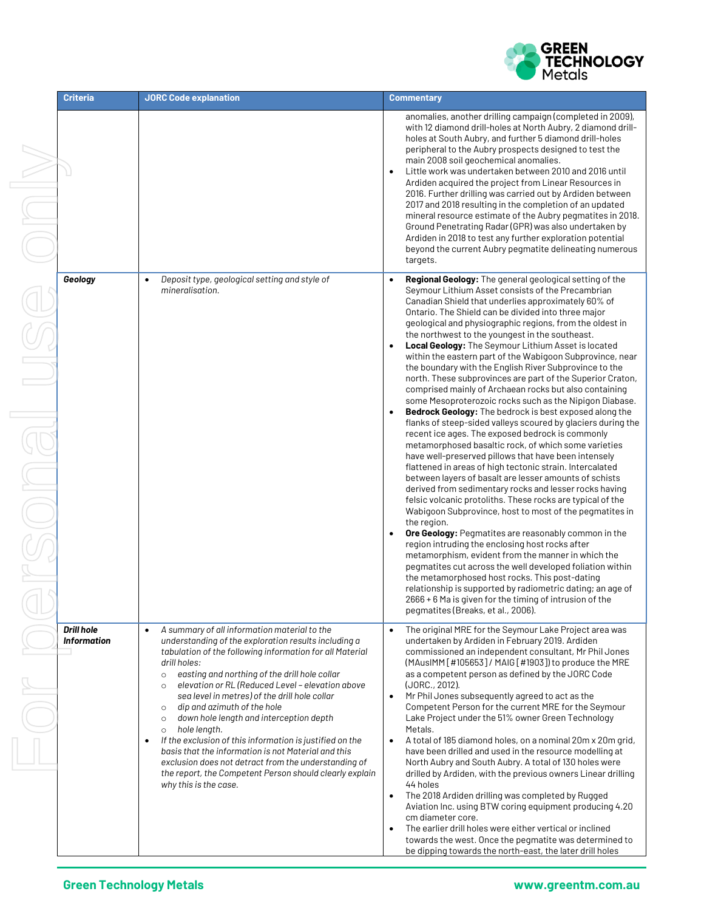

| <b>Criteria</b>                         | <b>JORC Code explanation</b>                                                                                                                                                                                                                                                                                                                                                                                                                                                                                                                                                                                                                                                                                                                                                     | <b>Commentary</b>                                                                                                                                                                                                                                                                                                                                                                                                                                                                                                                                                                                                                                                                                                                                                                                                                                                                                                                                                                                                                                                                                                                                                                                                                                                                                                                                                                                                                                                                                                                                                                                                                                                                                                                                                                                         |
|-----------------------------------------|----------------------------------------------------------------------------------------------------------------------------------------------------------------------------------------------------------------------------------------------------------------------------------------------------------------------------------------------------------------------------------------------------------------------------------------------------------------------------------------------------------------------------------------------------------------------------------------------------------------------------------------------------------------------------------------------------------------------------------------------------------------------------------|-----------------------------------------------------------------------------------------------------------------------------------------------------------------------------------------------------------------------------------------------------------------------------------------------------------------------------------------------------------------------------------------------------------------------------------------------------------------------------------------------------------------------------------------------------------------------------------------------------------------------------------------------------------------------------------------------------------------------------------------------------------------------------------------------------------------------------------------------------------------------------------------------------------------------------------------------------------------------------------------------------------------------------------------------------------------------------------------------------------------------------------------------------------------------------------------------------------------------------------------------------------------------------------------------------------------------------------------------------------------------------------------------------------------------------------------------------------------------------------------------------------------------------------------------------------------------------------------------------------------------------------------------------------------------------------------------------------------------------------------------------------------------------------------------------------|
|                                         |                                                                                                                                                                                                                                                                                                                                                                                                                                                                                                                                                                                                                                                                                                                                                                                  | anomalies, another drilling campaign (completed in 2009),<br>with 12 diamond drill-holes at North Aubry, 2 diamond drill-<br>holes at South Aubry, and further 5 diamond drill-holes<br>peripheral to the Aubry prospects designed to test the<br>main 2008 soil geochemical anomalies.<br>Little work was undertaken between 2010 and 2016 until<br>$\bullet$<br>Ardiden acquired the project from Linear Resources in<br>2016. Further drilling was carried out by Ardiden between<br>2017 and 2018 resulting in the completion of an updated<br>mineral resource estimate of the Aubry pegmatites in 2018.<br>Ground Penetrating Radar (GPR) was also undertaken by<br>Ardiden in 2018 to test any further exploration potential<br>beyond the current Aubry pegmatite delineating numerous<br>targets.                                                                                                                                                                                                                                                                                                                                                                                                                                                                                                                                                                                                                                                                                                                                                                                                                                                                                                                                                                                                |
| Geology                                 | Deposit type, geological setting and style of<br>$\bullet$<br>mineralisation.                                                                                                                                                                                                                                                                                                                                                                                                                                                                                                                                                                                                                                                                                                    | Regional Geology: The general geological setting of the<br>Seymour Lithium Asset consists of the Precambrian<br>Canadian Shield that underlies approximately 60% of<br>Ontario. The Shield can be divided into three major<br>geological and physiographic regions, from the oldest in<br>the northwest to the youngest in the southeast.<br>Local Geology: The Seymour Lithium Asset is located<br>$\bullet$<br>within the eastern part of the Wabigoon Subprovince, near<br>the boundary with the English River Subprovince to the<br>north. These subprovinces are part of the Superior Craton,<br>comprised mainly of Archaean rocks but also containing<br>some Mesoproterozoic rocks such as the Nipigon Diabase.<br>Bedrock Geology: The bedrock is best exposed along the<br>flanks of steep-sided valleys scoured by glaciers during the<br>recent ice ages. The exposed bedrock is commonly<br>metamorphosed basaltic rock, of which some varieties<br>have well-preserved pillows that have been intensely<br>flattened in areas of high tectonic strain. Intercalated<br>between layers of basalt are lesser amounts of schists<br>derived from sedimentary rocks and lesser rocks having<br>felsic volcanic protoliths. These rocks are typical of the<br>Wabigoon Subprovince, host to most of the pegmatites in<br>the region.<br>Ore Geology: Pegmatites are reasonably common in the<br>$\bullet$<br>region intruding the enclosing host rocks after<br>metamorphism, evident from the manner in which the<br>pegmatites cut across the well developed foliation within<br>the metamorphosed host rocks. This post-dating<br>relationship is supported by radiometric dating; an age of<br>2666 + 6 Ma is given for the timing of intrusion of the<br>pegmatites (Breaks, et al., 2006). |
| <b>Drill hole</b><br><b>Information</b> | A summary of all information material to the<br>$\bullet$<br>understanding of the exploration results including a<br>tabulation of the following information for all Material<br>drill holes:<br>easting and northing of the drill hole collar<br>$\circ$<br>elevation or RL (Reduced Level - elevation above<br>$\circ$<br>sea level in metres) of the drill hole collar<br>dip and azimuth of the hole<br>$\circ$<br>down hole length and interception depth<br>$\circ$<br>hole length.<br>$\circ$<br>If the exclusion of this information is justified on the<br>$\bullet$<br>basis that the information is not Material and this<br>exclusion does not detract from the understanding of<br>the report, the Competent Person should clearly explain<br>why this is the case. | The original MRE for the Seymour Lake Project area was<br>$\bullet$<br>undertaken by Ardiden in February 2019. Ardiden<br>commissioned an independent consultant, Mr Phil Jones<br>(MAusIMM [#105653] / MAIG [#1903]) to produce the MRE<br>as a competent person as defined by the JORC Code<br>(JORC., 2012).<br>Mr Phil Jones subsequently agreed to act as the<br>$\bullet$<br>Competent Person for the current MRE for the Seymour<br>Lake Project under the 51% owner Green Technology<br>Metals.<br>A total of 185 diamond holes, on a nominal 20m x 20m grid,<br>$\bullet$<br>have been drilled and used in the resource modelling at<br>North Aubry and South Aubry. A total of 130 holes were<br>drilled by Ardiden, with the previous owners Linear drilling<br>44 holes<br>The 2018 Ardiden drilling was completed by Rugged<br>$\bullet$<br>Aviation Inc. using BTW coring equipment producing 4.20<br>cm diameter core.<br>The earlier drill holes were either vertical or inclined<br>$\bullet$<br>towards the west. Once the pegmatite was determined to<br>be dipping towards the north-east, the later drill holes                                                                                                                                                                                                                                                                                                                                                                                                                                                                                                                                                                                                                                                                      |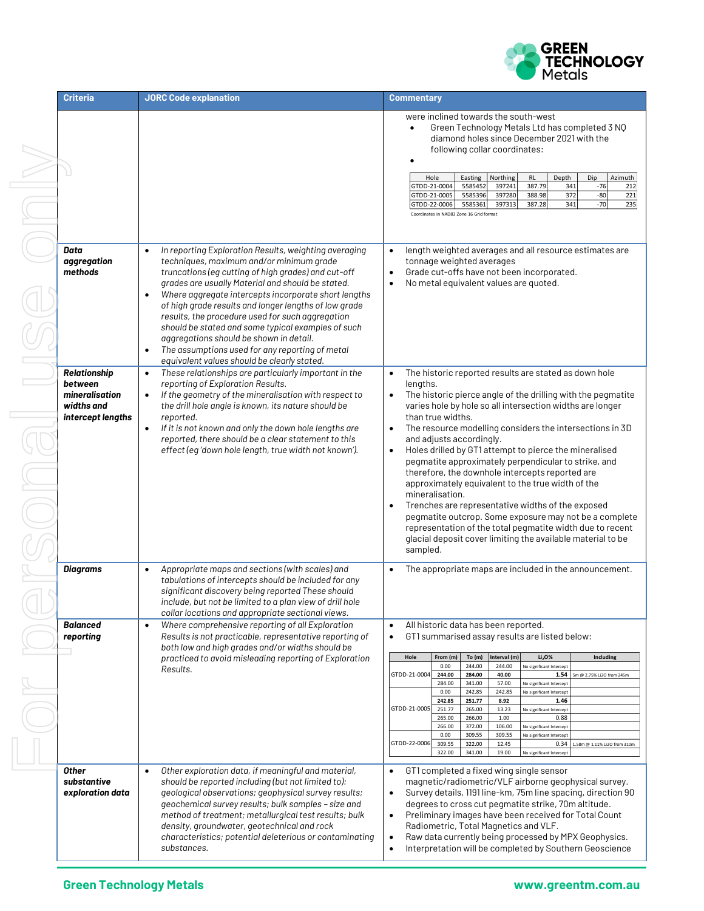

| <b>Criteria</b>                                                                     | <b>JORC Code explanation</b>                                                                                                                                                                                                                                                                                                                                                                                                                                                                                                                                                                            | <b>Commentary</b>                                                                                                                                                                                                                                                                                                                                                                                                                                                                                                                                                                                                                                                                                                                                                                                                                                                                |
|-------------------------------------------------------------------------------------|---------------------------------------------------------------------------------------------------------------------------------------------------------------------------------------------------------------------------------------------------------------------------------------------------------------------------------------------------------------------------------------------------------------------------------------------------------------------------------------------------------------------------------------------------------------------------------------------------------|----------------------------------------------------------------------------------------------------------------------------------------------------------------------------------------------------------------------------------------------------------------------------------------------------------------------------------------------------------------------------------------------------------------------------------------------------------------------------------------------------------------------------------------------------------------------------------------------------------------------------------------------------------------------------------------------------------------------------------------------------------------------------------------------------------------------------------------------------------------------------------|
|                                                                                     |                                                                                                                                                                                                                                                                                                                                                                                                                                                                                                                                                                                                         | were inclined towards the south-west<br>Green Technology Metals Ltd has completed 3 NQ<br>diamond holes since December 2021 with the<br>following collar coordinates:<br>Azimuth<br>Hole<br><b>RL</b><br>Depth<br>Dip<br>Easting<br>Northing<br>$-76$<br>GTDD-21-0004<br>5585452<br>387.79<br>341<br>397241<br>212<br>388.98<br>372<br>$-80$<br>221<br>GTDD-21-0005<br>5585396<br>397280<br>397313<br>387.28<br>341<br>$-70$<br>235<br>GTDD-22-0006<br>5585361<br>Coordinates in NAD83 Zone 16 Grid format                                                                                                                                                                                                                                                                                                                                                                       |
| Data<br>aggregation<br>methods                                                      | In reporting Exploration Results, weighting averaging<br>techniques, maximum and/or minimum grade<br>truncations (eg cutting of high grades) and cut-off<br>grades are usually Material and should be stated.<br>Where aggregate intercepts incorporate short lengths<br>٠<br>of high grade results and longer lengths of low grade<br>results, the procedure used for such aggregation<br>should be stated and some typical examples of such<br>aggregations should be shown in detail.<br>The assumptions used for any reporting of metal<br>$\bullet$<br>equivalent values should be clearly stated. | length weighted averages and all resource estimates are<br>tonnage weighted averages<br>Grade cut-offs have not been incorporated.<br>$\bullet$<br>No metal equivalent values are quoted.<br>$\bullet$                                                                                                                                                                                                                                                                                                                                                                                                                                                                                                                                                                                                                                                                           |
| <b>Relationship</b><br>between<br>mineralisation<br>widths and<br>intercept lengths | These relationships are particularly important in the<br>$\bullet$<br>reporting of Exploration Results.<br>If the geometry of the mineralisation with respect to<br>the drill hole angle is known, its nature should be<br>reported.<br>If it is not known and only the down hole lengths are<br>$\bullet$<br>reported, there should be a clear statement to this<br>effect (eg 'down hole length, true width not known').                                                                                                                                                                              | The historic reported results are stated as down hole<br>$\bullet$<br>lengths.<br>The historic pierce angle of the drilling with the pegmatite<br>$\bullet$<br>varies hole by hole so all intersection widths are longer<br>than true widths.<br>The resource modelling considers the intersections in 3D<br>$\bullet$<br>and adjusts accordingly.<br>Holes drilled by GT1 attempt to pierce the mineralised<br>$\bullet$<br>pegmatite approximately perpendicular to strike, and<br>therefore, the downhole intercepts reported are<br>approximately equivalent to the true width of the<br>mineralisation.<br>Trenches are representative widths of the exposed<br>$\bullet$<br>pegmatite outcrop. Some exposure may not be a complete<br>representation of the total pegmatite width due to recent<br>glacial deposit cover limiting the available material to be<br>sampled. |
| Diagrams                                                                            | Appropriate maps and sections (with scales) and<br>$\bullet$<br>tabulations of intercepts should be included for any<br>significant discovery being reported These should<br>include, but not be limited to a plan view of drill hole<br>collar locations and appropriate sectional views.                                                                                                                                                                                                                                                                                                              | The appropriate maps are included in the announcement.                                                                                                                                                                                                                                                                                                                                                                                                                                                                                                                                                                                                                                                                                                                                                                                                                           |
| <b>Balanced</b><br>reporting                                                        | Where comprehensive reporting of all Exploration<br>$\bullet$<br>Results is not practicable, representative reporting of<br>both low and high grades and/or widths should be                                                                                                                                                                                                                                                                                                                                                                                                                            | All historic data has been reported.<br>$\bullet$<br>GT1 summarised assay results are listed below:<br>$\bullet$                                                                                                                                                                                                                                                                                                                                                                                                                                                                                                                                                                                                                                                                                                                                                                 |
|                                                                                     | practiced to avoid misleading reporting of Exploration                                                                                                                                                                                                                                                                                                                                                                                                                                                                                                                                                  | Interval (m)<br>Including<br>Hole<br>From (m)<br>To $(m)$<br>Li <sub>2</sub> O <sub>%</sub><br>0.00<br>244.00<br>244.00                                                                                                                                                                                                                                                                                                                                                                                                                                                                                                                                                                                                                                                                                                                                                          |
|                                                                                     | Results.                                                                                                                                                                                                                                                                                                                                                                                                                                                                                                                                                                                                | No significant Intercept<br>GTDD-21-0004<br>244.00<br>284.00<br>40.00<br>1.54 5m @ 2.75% Li2O from 245m                                                                                                                                                                                                                                                                                                                                                                                                                                                                                                                                                                                                                                                                                                                                                                          |
|                                                                                     |                                                                                                                                                                                                                                                                                                                                                                                                                                                                                                                                                                                                         | 284.00<br>341.00<br>57.00<br>No significant Intercept<br>242.85<br>242.85<br>0.00<br>No significant Intercept                                                                                                                                                                                                                                                                                                                                                                                                                                                                                                                                                                                                                                                                                                                                                                    |
|                                                                                     |                                                                                                                                                                                                                                                                                                                                                                                                                                                                                                                                                                                                         | 242.85<br>251.77<br>8.92<br>1.46                                                                                                                                                                                                                                                                                                                                                                                                                                                                                                                                                                                                                                                                                                                                                                                                                                                 |
|                                                                                     |                                                                                                                                                                                                                                                                                                                                                                                                                                                                                                                                                                                                         | GTDD-21-0005<br>251.77<br>265.00<br>13.23<br>No significant Intercept<br>266.00<br>1.00<br>0.88<br>265.00                                                                                                                                                                                                                                                                                                                                                                                                                                                                                                                                                                                                                                                                                                                                                                        |
|                                                                                     |                                                                                                                                                                                                                                                                                                                                                                                                                                                                                                                                                                                                         | 266.00<br>372.00<br>106.00<br>No significant Intercept                                                                                                                                                                                                                                                                                                                                                                                                                                                                                                                                                                                                                                                                                                                                                                                                                           |
|                                                                                     |                                                                                                                                                                                                                                                                                                                                                                                                                                                                                                                                                                                                         | 0.00<br>309.55<br>309.55<br>No significant Intercept<br>GTDD-22-0006<br>309.55<br>322.00<br>12.45<br>1.58m @ 1.11% Li2O from 310m<br>0.34                                                                                                                                                                                                                                                                                                                                                                                                                                                                                                                                                                                                                                                                                                                                        |
|                                                                                     |                                                                                                                                                                                                                                                                                                                                                                                                                                                                                                                                                                                                         | 322.00<br>341.00<br>19.00<br>No significant Intercept                                                                                                                                                                                                                                                                                                                                                                                                                                                                                                                                                                                                                                                                                                                                                                                                                            |
| <b>Other</b><br>substantive<br>exploration data                                     | Other exploration data, if meaningful and material,<br>$\bullet$<br>should be reported including (but not limited to):<br>geological observations; geophysical survey results;<br>geochemical survey results; bulk samples - size and<br>method of treatment; metallurgical test results; bulk<br>density, groundwater, geotechnical and rock<br>characteristics; potential deleterious or contaminating<br>substances.                                                                                                                                                                                 | GT1 completed a fixed wing single sensor<br>magnetic/radiometric/VLF airborne geophysical survey.<br>Survey details, 1191 line-km, 75m line spacing, direction 90<br>$\bullet$<br>degrees to cross cut pegmatite strike, 70m altitude.<br>Preliminary images have been received for Total Count<br>$\bullet$<br>Radiometric, Total Magnetics and VLF.<br>Raw data currently being processed by MPX Geophysics.<br>$\bullet$<br>Interpretation will be completed by Southern Geoscience<br>$\bullet$                                                                                                                                                                                                                                                                                                                                                                              |